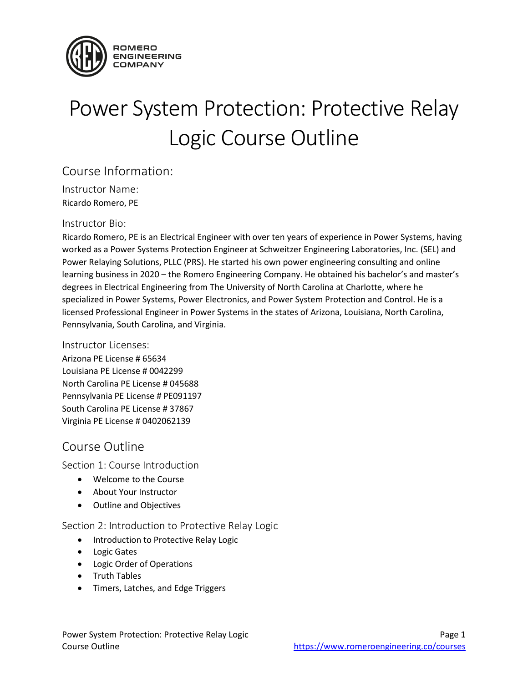

# Power System Protection: Protective Relay Logic Course Outline

### Course Information:

Instructor Name: Ricardo Romero, PE

#### Instructor Bio:

Ricardo Romero, PE is an Electrical Engineer with over ten years of experience in Power Systems, having worked as a Power Systems Protection Engineer at Schweitzer Engineering Laboratories, Inc. (SEL) and Power Relaying Solutions, PLLC (PRS). He started his own power engineering consulting and online learning business in 2020 – the Romero Engineering Company. He obtained his bachelor's and master's degrees in Electrical Engineering from The University of North Carolina at Charlotte, where he specialized in Power Systems, Power Electronics, and Power System Protection and Control. He is a licensed Professional Engineer in Power Systems in the states of Arizona, Louisiana, North Carolina, Pennsylvania, South Carolina, and Virginia.

#### Instructor Licenses:

Arizona PE License # 65634 Louisiana PE License # 0042299 North Carolina PE License # 045688 Pennsylvania PE License # PE091197 South Carolina PE License # 37867 Virginia PE License # 0402062139

## Course Outline

Section 1: Course Introduction

- Welcome to the Course
- About Your Instructor
- Outline and Objectives

Section 2: Introduction to Protective Relay Logic

- Introduction to Protective Relay Logic
- Logic Gates
- Logic Order of Operations
- Truth Tables
- Timers, Latches, and Edge Triggers